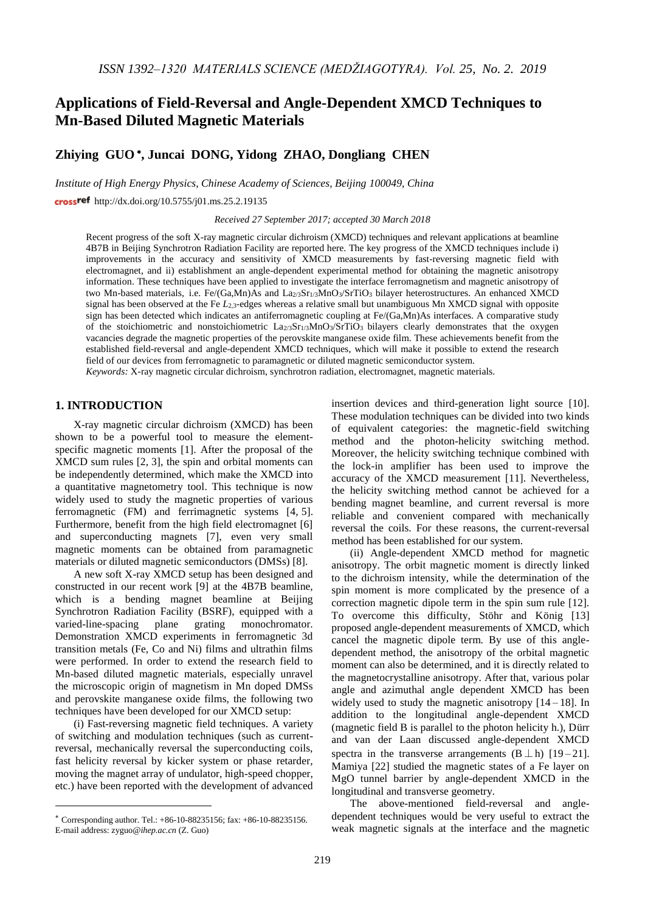# **Applications of Field-Reversal and Angle-Dependent XMCD Techniques to Mn-Based Diluted Magnetic Materials**

## **Zhiying GUO , Juncai DONG, Yidong ZHAO, Dongliang CHEN**

*Institute of High Energy Physics, Chinese Academy of Sciences, Beijing 100049, China*

crossref <http://dx.doi.org/10.5755/j01.ms.25.2.19135>

*Received 27 September 2017; accepted 30 March 2018*

Recent progress of the soft X-ray magnetic circular dichroism (XMCD) techniques and relevant applications at beamline 4B7B in Beijing Synchrotron Radiation Facility are reported here. The key progress of the XMCD techniques include i) improvements in the accuracy and sensitivity of XMCD measurements by fast-reversing magnetic field with electromagnet, and ii) establishment an angle-dependent experimental method for obtaining the magnetic anisotropy information. These techniques have been applied to investigate the interface ferromagnetism and magnetic anisotropy of two Mn-based materials, i.e. Fe/(Ga,Mn)As and La2/3Sr1/3MnO3/SrTiO3 bilayer heterostructures. An enhanced XMCD signal has been observed at the Fe *L*<sub>2,3</sub>-edges whereas a relative small but unambiguous Mn XMCD signal with opposite sign has been detected which indicates an antiferromagnetic coupling at Fe/(Ga,Mn)As interfaces. A comparative study of the stoichiometric and nonstoichiometric  $La_{2/3}Sr_{1/3}MnO_3/SrTiO_3$  bilayers clearly demonstrates that the oxygen vacancies degrade the magnetic properties of the perovskite manganese oxide film. These achievements benefit from the established field-reversal and angle-dependent XMCD techniques, which will make it possible to extend the research field of our devices from ferromagnetic to paramagnetic or diluted magnetic semiconductor system. *Keywords:* X-ray magnetic circular dichroism, synchrotron radiation, electromagnet, magnetic materials.

#### **1. INTRODUCTION**

X-ray magnetic circular dichroism (XMCD) has been shown to be a powerful tool to measure the elementspecific magnetic moments [1]. After the proposal of the XMCD sum rules [2, 3], the spin and orbital moments can be independently determined, which make the XMCD into a quantitative magnetometry tool. This technique is now widely used to study the magnetic properties of various ferromagnetic (FM) and ferrimagnetic systems [4, 5]. Furthermore, benefit from the high field electromagnet [6] and superconducting magnets [7], even very small magnetic moments can be obtained from paramagnetic materials or diluted magnetic semiconductors (DMSs) [8].

A new soft X-ray XMCD setup has been designed and constructed in our recent work [9] at the 4B7B beamline, which is a bending magnet beamline at Beijing Synchrotron Radiation Facility (BSRF), equipped with a varied-line-spacing plane grating monochromator. Demonstration XMCD experiments in ferromagnetic 3d transition metals (Fe, Co and Ni) films and ultrathin films were performed. In order to extend the research field to Mn-based diluted magnetic materials, especially unravel the microscopic origin of magnetism in Mn doped DMSs and perovskite manganese oxide films, the following two techniques have been developed for our XMCD setup:

(i) Fast-reversing magnetic field techniques. A variety of switching and modulation techniques (such as currentreversal, mechanically reversal the superconducting coils, fast helicity reversal by kicker system or phase retarder, moving the magnet array of undulator, high-speed chopper, etc.) have been reported with the development of advanced

<u>.</u>

insertion devices and third-generation light source [10]. These modulation techniques can be divided into two kinds of equivalent categories: the magnetic-field switching method and the photon-helicity switching method. Moreover, the helicity switching technique combined with the lock-in amplifier has been used to improve the accuracy of the XMCD measurement [11]. Nevertheless, the helicity switching method cannot be achieved for a bending magnet beamline, and current reversal is more reliable and convenient compared with mechanically reversal the coils. For these reasons, the current-reversal method has been established for our system.

(ii) Angle-dependent XMCD method for magnetic anisotropy. The orbit magnetic moment is directly linked to the dichroism intensity, while the determination of the spin moment is more complicated by the presence of a correction magnetic dipole term in the spin sum rule [12]. To overcome this difficulty, Stöhr and König [13] proposed angle-dependent measurements of XMCD, which cancel the magnetic dipole term. By use of this angledependent method, the anisotropy of the orbital magnetic moment can also be determined, and it is directly related to the magnetocrystalline anisotropy. After that, various polar angle and azimuthal angle dependent XMCD has been widely used to study the magnetic anisotropy [14 – 18]. In addition to the longitudinal angle-dependent XMCD (magnetic field B is parallel to the photon helicity h.), Dürr and van der Laan discussed angle-dependent XMCD spectra in the transverse arrangements  $(B \perp h)$  [19-21]. Mamiya [22] studied the magnetic states of a Fe layer on MgO tunnel barrier by angle-dependent XMCD in the longitudinal and transverse geometry.

The above-mentioned field-reversal and angledependent techniques would be very useful to extract the weak magnetic signals at the interface and the magnetic

 $*$  Corresponding author. Tel.:  $+86-10-88235156$ ; fax:  $+86-10-88235156$ . E-mail address: zyguo*@ihep.ac.cn* (Z. Guo)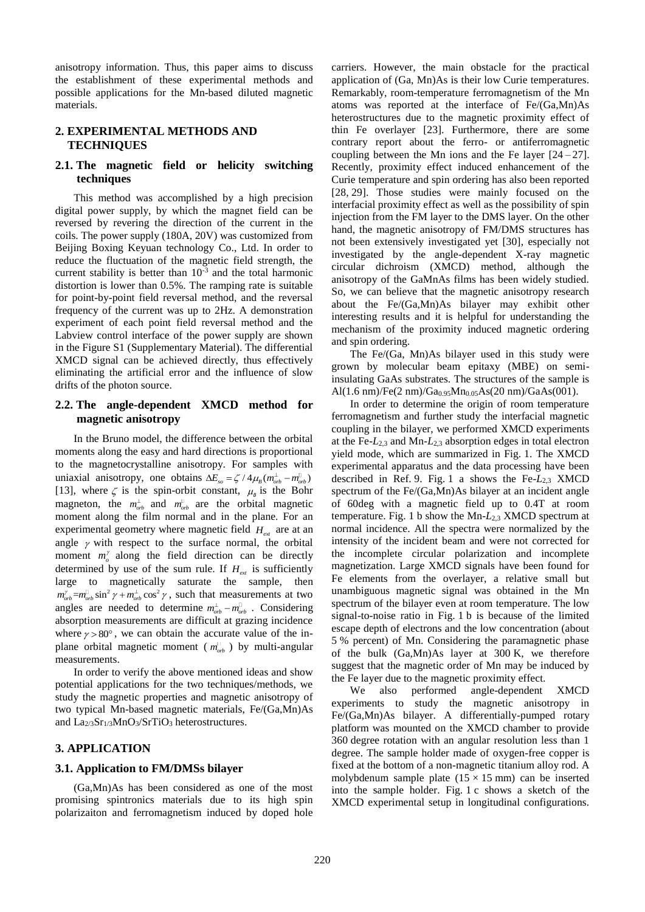anisotropy information. Thus, this paper aims to discuss the establishment of these experimental methods and possible applications for the Mn-based diluted magnetic materials.

### **2. EXPERIMENTAL METHODS AND TECHNIQUES**

### **2.1. The magnetic field or helicity switching techniques**

This method was accomplished by a high precision digital power supply, by which the magnet field can be reversed by revering the direction of the current in the coils. The power supply (180A, 20V) was customized from Beijing Boxing Keyuan technology Co., Ltd. In order to reduce the fluctuation of the magnetic field strength, the current stability is better than  $10^{-3}$  and the total harmonic distortion is lower than 0.5%. The ramping rate is suitable for point-by-point field reversal method, and the reversal frequency of the current was up to 2Hz. A demonstration experiment of each point field reversal method and the Labview control interface of the power supply are shown in the Figure S1 (Supplementary Material). The differential XMCD signal can be achieved directly, thus effectively eliminating the artificial error and the influence of slow drifts of the photon source.

#### **2.2. The angle-dependent XMCD method for magnetic anisotropy**

In the Bruno model, the difference between the orbital moments along the easy and hard directions is proportional to the magnetocrystalline anisotropy. For samples with uniaxial anisotropy, one obtains  $\Delta E_{so} = \zeta / 4 \mu_B (m_{orb}^{\perp} - m_{orb}^{\parallel})$ [13], where  $\zeta$  is the spin-orbit constant,  $\mu_{\beta}$  is the Bohr magneton, the  $m_{orb}^{\perp}$  and  $m_{orb}^{\parallel}$  are the orbital magnetic moment along the film normal and in the plane. For an experimental geometry where magnetic field  $H_{ext}$  are at an angle  $\gamma$  with respect to the surface normal, the orbital moment  $m^{\gamma}_{\rho}$  along the field direction can be directly determined by use of the sum rule. If  $H_{ext}$  is sufficiently large to magnetically saturate the sample, then  $m_{orb}^{\gamma} = m_{orb}^{\gamma} \sin^2 \gamma + m_{orb}^{\gamma} \cos^2 \gamma$ , such that measurements at two angles are needed to determine  $m_{orb}^{\perp} - m_{orb}^{\parallel}$ . Considering absorption measurements are difficult at grazing incidence where  $\gamma > 80^\circ$ , we can obtain the accurate value of the inplane orbital magnetic moment ( $m_{orb}^{\text{d}}$ ) by multi-angular measurements.

In order to verify the above mentioned ideas and show potential applications for the two techniques/methods, we study the magnetic properties and magnetic anisotropy of two typical Mn-based magnetic materials, Fe/(Ga,Mn)As and La<sub>2/3</sub>Sr<sub>1/3</sub>MnO<sub>3</sub>/SrTiO<sub>3</sub> heterostructures.

### **3. APPLICATION**

### **3.1. Application to FM/DMSs bilayer**

(Ga,Mn)As has been considered as one of the most promising spintronics materials due to its high spin polarizaiton and ferromagnetism induced by doped hole carriers. However, the main obstacle for the practical application of (Ga, Mn)As is their low Curie temperatures. Remarkably, room-temperature ferromagnetism of the Mn atoms was reported at the interface of Fe/(Ga,Mn)As heterostructures due to the magnetic proximity effect of thin Fe overlayer [23]. Furthermore, there are some contrary report about the ferro- or antiferromagnetic coupling between the Mn ions and the Fe layer  $[24-27]$ . Recently, proximity effect induced enhancement of the Curie temperature and spin ordering has also been reported [28, 29]. Those studies were mainly focused on the interfacial proximity effect as well as the possibility of spin injection from the FM layer to the DMS layer. On the other hand, the magnetic anisotropy of FM/DMS structures has not been extensively investigated yet [30], especially not investigated by the angle-dependent X-ray magnetic circular dichroism (XMCD) method, although the anisotropy of the GaMnAs films has been widely studied. So, we can believe that the magnetic anisotropy research about the Fe/(Ga,Mn)As bilayer may exhibit other interesting results and it is helpful for understanding the mechanism of the proximity induced magnetic ordering and spin ordering.

The Fe/(Ga, Mn)As bilayer used in this study were grown by molecular beam epitaxy (MBE) on semiinsulating GaAs substrates. The structures of the sample is Al(1.6 nm)/Fe(2 nm)/Ga<sub>0.95</sub>Mn<sub>0.05</sub>As(20 nm)/GaAs(001).

In order to determine the origin of room temperature ferromagnetism and further study the interfacial magnetic coupling in the bilayer, we performed XMCD experiments at the Fe-*L*2,3 and Mn-*L*2,3 absorption edges in total electron yield mode, which are summarized in Fig. 1. The XMCD experimental apparatus and the data processing have been described in Ref. 9. Fig. 1 a shows the Fe-*L*2,3 XMCD spectrum of the Fe/(Ga,Mn)As bilayer at an incident angle of 60deg with a magnetic field up to 0.4T at room temperature. Fig. 1 b show the Mn-*L*2,3 XMCD spectrum at normal incidence. All the spectra were normalized by the intensity of the incident beam and were not corrected for the incomplete circular polarization and incomplete magnetization. Large XMCD signals have been found for Fe elements from the overlayer, a relative small but unambiguous magnetic signal was obtained in the Mn spectrum of the bilayer even at room temperature. The low signal-to-noise ratio in Fig. 1 b is because of the limited escape depth of electrons and the low concentration (about 5 % percent) of Mn. Considering the paramagnetic phase of the bulk (Ga,Mn)As layer at 300 K, we therefore suggest that the magnetic order of Mn may be induced by the Fe layer due to the magnetic proximity effect.

We also performed angle-dependent XMCD experiments to study the magnetic anisotropy in Fe/(Ga,Mn)As bilayer. A differentially-pumped rotary platform was mounted on the XMCD chamber to provide 360 degree rotation with an angular resolution less than 1 degree. The sample holder made of oxygen-free copper is fixed at the bottom of a non-magnetic titanium alloy rod. A molybdenum sample plate  $(15 \times 15 \text{ mm})$  can be inserted into the sample holder. Fig. 1 c shows a sketch of the XMCD experimental setup in longitudinal configurations.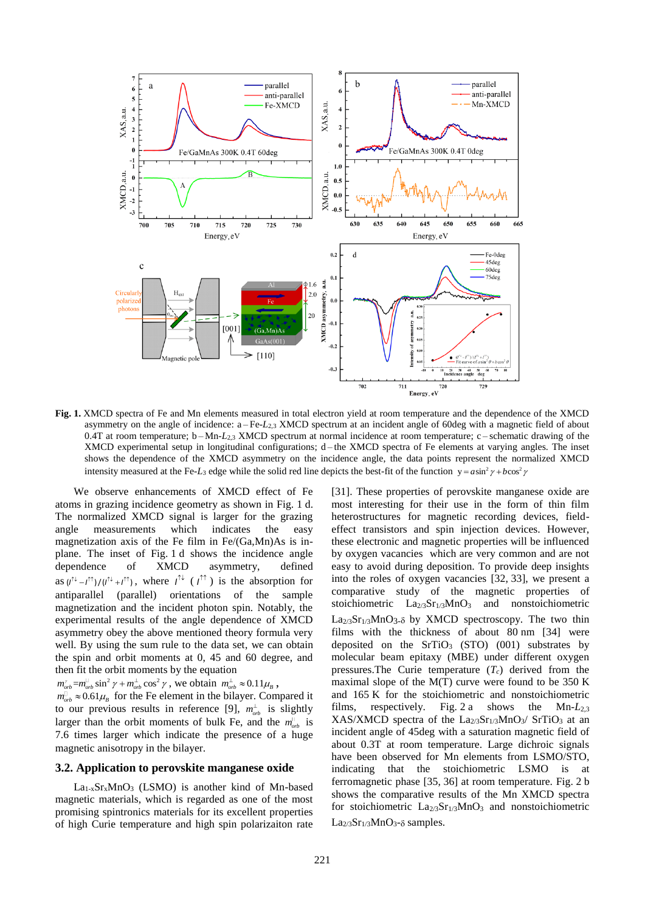

**Fig. 1.** XMCD spectra of Fe and Mn elements measured in total electron yield at room temperature and the dependence of the XMCD asymmetry on the angle of incidence: a – Fe-*L*2,3 XMCD spectrum at an incident angle of 60deg with a magnetic field of about 0.4T at room temperature; b-Mn-*L*<sub>2,3</sub> XMCD spectrum at normal incidence at room temperature; c-schematic drawing of the XMCD experimental setup in longitudinal configurations; d – the XMCD spectra of Fe elements at varying angles. The inset shows the dependence of the XMCD asymmetry on the incidence angle, the data points represent the normalized XMCD intensity measured at the Fe-*L*<sub>3</sub> edge while the solid red line depicts the best-fit of the function  $y = a\sin^2\gamma + b\cos^2\gamma$ 

We observe enhancements of XMCD effect of Fe atoms in grazing incidence geometry as shown in Fig. 1 d. The normalized XMCD signal is larger for the grazing angle measurements which indicates the easy magnetization axis of the Fe film in Fe/(Ga,Mn)As is inplane. The inset of Fig. 1 d shows the incidence angle dependence of XMCD asymmetry, defined dependence of XMCD asymmetry, defined as  $(l^{\uparrow\downarrow} - l^{\uparrow\uparrow})/l^{\uparrow\downarrow} + l^{\uparrow\uparrow}$ , where  $l^{\uparrow\downarrow}$  ( $l^{\uparrow\uparrow}$ ) is the absorption for antiparallel (parallel) orientations of the sample magnetization and the incident photon spin. Notably, the experimental results of the angle dependence of XMCD asymmetry obey the above mentioned theory formula very well. By using the sum rule to the data set, we can obtain the spin and orbit moments at 0, 45 and 60 degree, and then fit the orbit moments by the equation

 $m_{orb}^{\dagger} = m_{orb}^{\dagger} \sin^2 \gamma + m_{orb}^{\dagger} \cos^2 \gamma$ , we obtain  $m_{orb}^{\dagger} \approx 0.11 \mu_B$ ,

 $m_{orb}^{\text{I}} \approx 0.61 \mu_B$  for the Fe element in the bilayer. Compared it to our previous results in reference [9],  $m_{orb}^{\perp}$  is slightly larger than the orbit moments of bulk Fe, and the  $m_{orb}^{\text{D}}$  is 7.6 times larger which indicate the presence of a huge magnetic anisotropy in the bilayer.

#### **3.2. Application to perovskite manganese oxide**

 $La<sub>1-x</sub>Sr<sub>x</sub>MnO<sub>3</sub>$  (LSMO) is another kind of Mn-based magnetic materials, which is regarded as one of the most promising spintronics materials for its excellent properties of high Curie temperature and high spin polarizaiton rate

[31]. These properties of perovskite manganese oxide are most interesting for their use in the form of thin film heterostructures for magnetic recording devices, fieldeffect transistors and spin injection devices. However, these electronic and magnetic properties will be influenced by oxygen vacancies which are very common and are not easy to avoid during deposition. To provide deep insights into the roles of oxygen vacancies [32, 33], we present a comparative study of the magnetic properties of stoichiometric  $La<sub>2/3</sub>Sr<sub>1/3</sub>MnO<sub>3</sub>$  and nonstoichiometric  $La<sub>2/3</sub>Sr<sub>1/3</sub>MnO<sub>3-δ</sub>$  by XMCD spectroscopy. The two thin films with the thickness of about 80 nm [34] were deposited on the  $SrTiO<sub>3</sub>$  (STO) (001) substrates by molecular beam epitaxy (MBE) under different oxygen pressures. The Curie temperature  $(T_c)$  derived from the maximal slope of the  $M(T)$  curve were found to be 350 K and 165 K for the stoichiometric and nonstoichiometric films, respectively. Fig. 2 a shows the Mn-*L*2,3 XAS/XMCD spectra of the  $La<sub>2/3</sub>Sr<sub>1/3</sub>MnO<sub>3</sub>/STiO<sub>3</sub>$  at an incident angle of 45deg with a saturation magnetic field of about 0.3T at room temperature. Large dichroic signals have been observed for Mn elements from LSMO/STO, indicating that the stoichiometric LSMO is at ferromagnetic phase [35, 36] at room temperature. Fig. 2 b shows the comparative results of the Mn XMCD spectra for stoichiometric  $La_{2/3}Sr_{1/3}MnO_3$  and nonstoichiometric  $La<sub>2/3</sub>Sr<sub>1/3</sub>MnO<sub>3</sub>– $\delta$  samples.$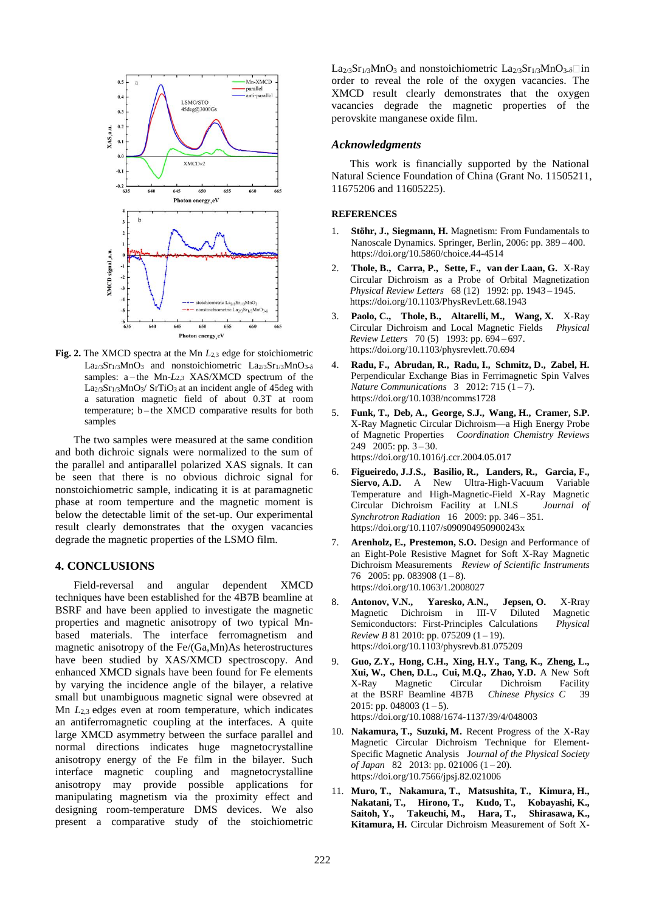

**Fig. 2.** The XMCD spectra at the Mn *L*2,3 edge for stoichiometric La2/3Sr1/3MnO3 and nonstoichiometric La2/3Sr1/3MnO3-8 samples: a-the Mn-*L*<sub>2,3</sub> XAS/XMCD spectrum of the  $\text{L}a_{2/3}\text{Sr}_1$ /3MnO<sub>3</sub>/ SrTiO<sub>3</sub> at an incident angle of 45deg with a saturation magnetic field of about 0.3T at room temperature; b – the XMCD comparative results for both samples

The two samples were measured at the same condition and both dichroic signals were normalized to the sum of the parallel and antiparallel polarized XAS signals. It can be seen that there is no obvious dichroic signal for nonstoichiometric sample, indicating it is at paramagnetic phase at room temperture and the magnetic moment is below the detectable limit of the set-up. Our experimental result clearly demonstrates that the oxygen vacancies degrade the magnetic properties of the LSMO film.

#### **4. CONCLUSIONS**

Field-reversal and angular dependent XMCD techniques have been established for the 4B7B beamline at BSRF and have been applied to investigate the magnetic properties and magnetic anisotropy of two typical Mnbased materials. The interface ferromagnetism and magnetic anisotropy of the Fe/(Ga,Mn)As heterostructures have been studied by XAS/XMCD spectroscopy. And enhanced XMCD signals have been found for Fe elements by varying the incidence angle of the bilayer, a relative small but unambiguous magnetic signal were obsevred at Mn *L*2,3 edges even at room temperature, which indicates an antiferromagnetic coupling at the interfaces. A quite large XMCD asymmetry between the surface parallel and normal directions indicates huge magnetocrystalline anisotropy energy of the Fe film in the bilayer. Such interface magnetic coupling and magnetocrystalline anisotropy may provide possible applications for manipulating magnetism via the proximity effect and designing room-temperature DMS devices. We also present a comparative study of the stoichiometric  $La<sub>2/3</sub>Sr<sub>1/3</sub>MnO<sub>3</sub>$  and nonstoichiometric  $La<sub>2/3</sub>Sr<sub>1/3</sub>MnO<sub>3-δ</sub>$  in order to reveal the role of the oxygen vacancies. The XMCD result clearly demonstrates that the oxygen vacancies degrade the magnetic properties of the perovskite manganese oxide film.

#### *Acknowledgments*

This work is financially supported by the National Natural Science Foundation of China (Grant No. 11505211, 11675206 and 11605225).

#### **REFERENCES**

- 1. **Stöhr, J., Siegmann, H.** Magnetism: From Fundamentals to Nanoscale Dynamics. Springer, Berlin, 2006: pp. 389 – 400. https://doi.org/10.5860/choice.44-4514
- 2. **Thole, B., Carra, P., Sette, F., van der Laan, G.** X-Ray Circular Dichroism as a Probe of Orbital Magnetization *Physical Review Letters* 68 (12) 1992: pp. 1943 – 1945. https://doi.org/10.1103/PhysRevLett.68.1943
- 3. **Paolo, C., Thole, B., Altarelli, M., Wang, X.** X-Ray Circular Dichroism and Local Magnetic Fields *Physical Review Letters* 70 (5) 1993: pp. 694 – 697. https://doi.org/10.1103/physrevlett.70.694
- 4. **Radu, F., Abrudan, R., Radu, I., Schmitz, D., Zabel, H.**  Perpendicular Exchange Bias in Ferrimagnetic Spin Valves *Nature Communications* 3 2012: 715 (1-7). https://doi.org/10.1038/ncomms1728
- 5. **Funk, T., Deb, A., George, S.J., Wang, H., Cramer, S.P.** X-Ray Magnetic Circular Dichroism—a High Energy Probe of Magnetic Properties *Coordination Chemistry Reviews* 249 2005: pp. 3 – 30. https://doi.org/10.1016/j.ccr.2004.05.017
- 6. **Figueiredo, J.J.S., Basilio, R., Landers, R., Garcia, F., Siervo, A.D.** A New Ultra-High-Vacuum Variable Temperature and High-Magnetic-Field X-Ray Magnetic Circular Dichroism Facility at LNLS *Journal of Synchrotron Radiation* 16 2009: pp. 346 – 351. https://doi.org/10.1107/s090904950900243x
- 7. **Arenholz, E., Prestemon, S.O.** Design and Performance of an Eight-Pole Resistive Magnet for Soft X-Ray Magnetic Dichroism Measurements *Review of Scientific Instruments* 76 2005: pp. 083908  $(1-8)$ . https://doi.org/10.1063/1.2008027
- 8. **Antonov, V.N., Yaresko, A.N., Jepsen, O.** X-Rray Magnetic Dichroism in III-V Diluted Magnetic Semiconductors: First-Principles Calculations *Physical Review B* 81 2010: pp. 075209 (1 – 19). https://doi.org/10.1103/physrevb.81.075209
- 9. **Guo, Z.Y., Hong, C.H., Xing, H.Y., Tang, K., Zheng, L., Xui, W., Chen, D.L., Cui, M.Q., Zhao, Y.D.** A New Soft Magnetic Circular Dichroism Facility at the BSRF Beamline 4B7B *Chinese Physics C* 39 2015: pp. 048003  $(1-5)$ . https://doi.org/10.1088/1674-1137/39/4/048003
- 10. **Nakamura, T., Suzuki, M.** Recent Progress of the X-Ray Magnetic Circular Dichroism Technique for Element-Specific Magnetic Analysis J*ournal of the Physical Society of Japan* 82 2013: pp. 021006 (1 – 20). https://doi.org/10.7566/jpsj.82.021006
- 11. **Muro, T., Nakamura, T., Matsushita, T., Kimura, H., Nakatani, T., Hirono, T., Kudo, T., Kobayashi, K., Saitoh, Y., Takeuchi, M., Hara, T., Shirasawa, K., Kitamura, H.** Circular Dichroism Measurement of Soft X-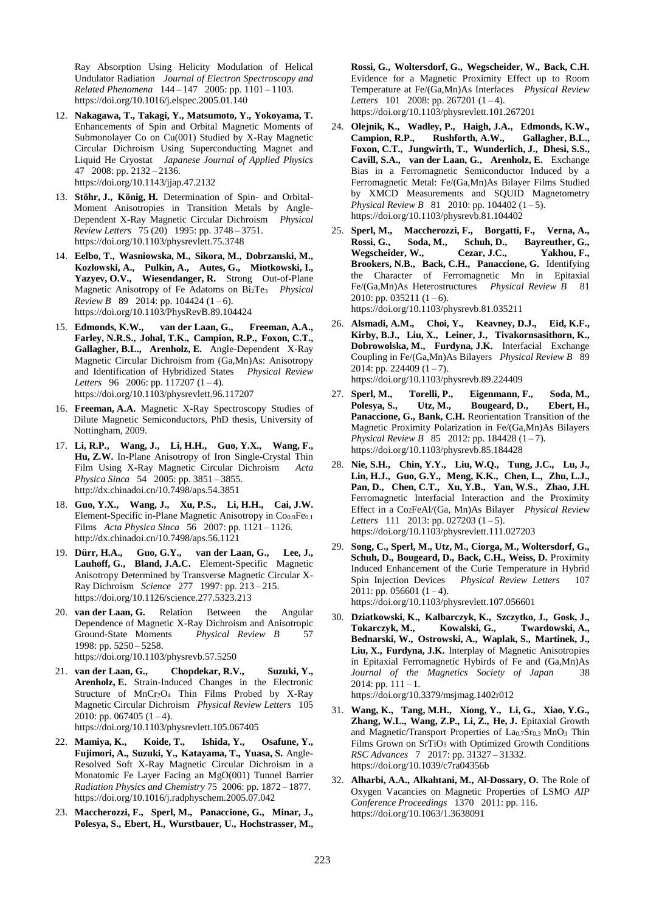Ray Absorption Using Helicity Modulation of Helical Undulator Radiation *Journal of Electron Spectroscopy and Related Phenomena* 144 – 147 2005: pp. 1101 – 1103. https://doi.org/10.1016/j.elspec.2005.01.140

- 12. **Nakagawa, T., Takagi, Y., Matsumoto, Y., Yokoyama, T.** Enhancements of Spin and Orbital Magnetic Moments of Submonolayer Co on Cu(001) Studied by X-Ray Magnetic Circular Dichroism Using Superconducting Magnet and Liquid He Cryostat *Japanese Journal of Applied Physics*  47 2008: pp. 2132 – 2136. https://doi.org/10.1143/jjap.47.2132
- 13. **Stöhr, J., König, H.** Determination of Spin- and Orbital-Moment Anisotropies in Transition Metals by Angle-Dependent X-Ray Magnetic Circular Dichroism *Physical Review Letters* 75 (20) 1995: pp. 3748 – 3751. https://doi.org/10.1103/physrevlett.75.3748
- 14. **Eelbo, T., Wasniowska, M., Sikora, M., Dobrzanski, M., Kozłowski, A., Pulkin, A., Autes, G., Miotkowski, I., Yazyev, O.V., Wiesendanger, R.** Strong Out-of-Plane Magnetic Anisotropy of Fe Adatoms on Bi2Te<sup>3</sup> *Physical Review B* 89 2014: pp. 104424 (1-6). https://doi.org/10.1103/PhysRevB.89.104424
- 15. **Edmonds, K.W., van der Laan, G., Freeman, A.A., Farley, N.R.S., Johal, T.K., Campion, R.P., Foxon, C.T., Gallagher, B.L., Arenholz, E.** Angle-Dependent X-Ray Magnetic Circular Dichroism from (Ga,Mn)As: Anisotropy and Identification of Hybridized States *Physical Review Letters* 96 2006: pp. 117207  $(1-4)$ . https://doi.org/10.1103/physrevlett.96.117207
- 16. **Freeman, A.A.** Magnetic X-Ray Spectroscopy Studies of Dilute Magnetic Semiconductors, PhD thesis, University of Nottingham, 2009.
- 17. **Li, R.P., Wang, J., Li, H.H., Guo, Y.X., Wang, F., Hu, Z.W.** In-Plane Anisotropy of Iron Single-Crystal Thin Film Using X-Ray Magnetic Circular Dichroism *Acta Physica Sinca* 54 2005: pp. 3851 – 3855. http://dx.chinadoi.cn/10.7498/aps.54.3851
- 18. **Guo, Y.X., Wang, J., Xu, P.S., Li, H.H., Cai, J.W.** Element-Specific in-Plane Magnetic Anisotropy in  $Co<sub>0.9</sub>Fe<sub>0.1</sub>$ Films *Acta Physica Sinca* 56 2007: pp. 1121 – 1126. http://dx.chinadoi.cn/10.7498/aps.56.1121
- 19. **Dürr, H.A., Guo, G.Y., van der Laan, G., Lee, J., Lauhoff, G., Bland, J.A.C.** Element-Specific Magnetic Anisotropy Determined by Transverse Magnetic Circular X-Ray Dichroism *Science* 277 1997: pp. 213 – 215. https://doi.org/10.1126/science.277.5323.213
- 20. **van der Laan, G.** Relation Between the Angular Dependence of Magnetic X-Ray Dichroism and Anisotropic Ground-State Moments *Physical Review B* 57 1998: pp. 5250 – 5258. https://doi.org/10.1103/physrevb.57.5250
- 21. **van der Laan, G., Chopdekar, R.V., Suzuki, Y., Arenholz, E.** Strain-Induced Changes in the Electronic Structure of MnCr2O<sup>4</sup> Thin Films Probed by X-Ray Magnetic Circular Dichroism *Physical Review Letters* 105 2010: pp. 067405  $(1-4)$ . https://doi.org/10.1103/physrevlett.105.067405
- 22. **Mamiya, K., Koide, T., Ishida, Y., Osafune, Y., Fujimori, A., Suzuki, Y., Katayama, T., Yuasa, S.** Angle-Resolved Soft X-Ray Magnetic Circular Dichroism in a Monatomic Fe Layer Facing an MgO(001) Tunnel Barrier *Radiation Physics and Chemistry* 75 2006: pp. 1872 – 1877. https://doi.org/10.1016/j.radphyschem.2005.07.042
- 23. **Maccherozzi, F., Sperl, M., Panaccione, G., Minar, J., Polesya, S., Ebert, H., Wurstbauer, U., Hochstrasser, M.,**

**Rossi, G., Woltersdorf, G., Wegscheider, W., Back, C.H.**  Evidence for a Magnetic Proximity Effect up to Room Temperature at Fe/(Ga,Mn)As Interfaces *Physical Review Letters* 101 2008: pp. 267201 (1-4). https://doi.org/10.1103/physrevlett.101.267201

- 24. **Olejnik, K., Wadley, P., Haigh, J.A., Edmonds, K.W., Campion, R.P., Rushforth, A.W., Gallagher, B.L., Foxon, C.T., Jungwirth, T., Wunderlich, J., Dhesi, S.S., Cavill, S.A., van der Laan, G., Arenholz, E.** Exchange Bias in a Ferromagnetic Semiconductor Induced by a Ferromagnetic Metal: Fe/(Ga,Mn)As Bilayer Films Studied by XMCD Measurements and SQUID Magnetometry *Physical Review B* 81 2010: pp. 104402 (1-5). https://doi.org/10.1103/physrevb.81.104402
- 25. **Sperl, M., Maccherozzi, F., Borgatti, F., Verna, A., Rossi, G., Soda, M., Schuh, D., Bayreuther, G., Wegscheider, W., Cezar, J.C., Yakhou, F., Brookers, N.B., Back, C.H., Panaccione, G.** Identifying the Character of Ferromagnetic Mn in Epitaxial Fe/(Ga,Mn)As Heterostructures *Physical Review B* 81 2010: pp. 035211  $(1-6)$ . https://doi.org/10.1103/physrevb.81.035211
- 26. **Alsmadi, A.M., Choi, Y., Keavney, D.J., Eid, K.F., Kirby, B.J., Liu, X., Leiner, J., Tivakornsasithorn, K., Dobrowolska, M., Furdyna, J.K.** Interfacial Exchange Coupling in Fe/(Ga,Mn)As Bilayers *Physical Review B* 89 2014: pp. 224409  $(1 - 7)$ . https://doi.org/10.1103/physrevb.89.224409
- 27. **Sperl, M., Torelli, P., Eigenmann, F., Soda, M., Polesya, S., Utz, M., Bougeard, D., Ebert, H., Panaccione, G., Bank, C.H.** Reorientation Transition of the Magnetic Proximity Polarization in Fe/(Ga,Mn)As Bilayers *Physical Review B* 85 2012: pp. 184428 (1-7). https://doi.org/10.1103/physrevb.85.184428
- 28. **Nie, S.H., Chin, Y.Y., Liu, W.Q., Tung, J.C., Lu, J., Lin, H.J., Guo, G.Y., Meng, K.K., Chen, L., Zhu, L.J., Pan, D., Chen, C.T., Xu, Y.B., Yan, W.S., Zhao, J.H.** Ferromagnetic Interfacial Interaction and the Proximity Effect in a Co2FeAl/(Ga, Mn)As Bilayer *Physical Review Letters* 111 2013: pp. 027203 (1-5). https://doi.org/10.1103/physrevlett.111.027203
- 29. **Song, C., Sperl, M., Utz, M., Ciorga, M., Woltersdorf, G., Schuh, D., Bougeard, D., Back, C.H., Weiss, D.** Proximity Induced Enhancement of the Curie Temperature in Hybrid Spin Injection Devices *Physical Review Letters* 107 2011: pp. 056601  $(1-4)$ . https://doi.org/10.1103/physrevlett.107.056601
- 30. **Dziatkowski, K., Kalbarczyk, K., Szczytko, J., Gosk, J., Tokarczyk, M., Kowalski, G., Twardowski, A., Bednarski, W., Ostrowski, A., Waplak, S., Martinek, J., Liu, X., Furdyna, J.K.** Interplay of Magnetic Anisotropies in Epitaxial Ferromagnetic Hybirds of Fe and (Ga,Mn)As *Journal of the Magnetics Society of Japan* 38 2014: pp.  $111 - 1$ .
	- https://doi.org/10.3379/msjmag.1402r012
- 31. **Wang, K., Tang, M.H., Xiong, Y., Li, G., Xiao, Y.G., Zhang, W.L., Wang, Z.P., Li, Z., He, J.** Epitaxial Growth and Magnetic/Transport Properties of La0.7Sr0.3 MnO<sup>3</sup> Thin Films Grown on SrTiO<sup>3</sup> with Optimized Growth Conditions *RSC Advances* 7 2017: pp. 31327 – 31332. https://doi.org/10.1039/c7ra04356b
- 32. **Alharbi, A.A., Alkahtani, M., Al-Dossary, O.** The Role of Oxygen Vacancies on Magnetic Properties of LSMO *AIP Conference Proceedings* 1370 2011: pp. 116. https://doi.org/10.1063/1.3638091